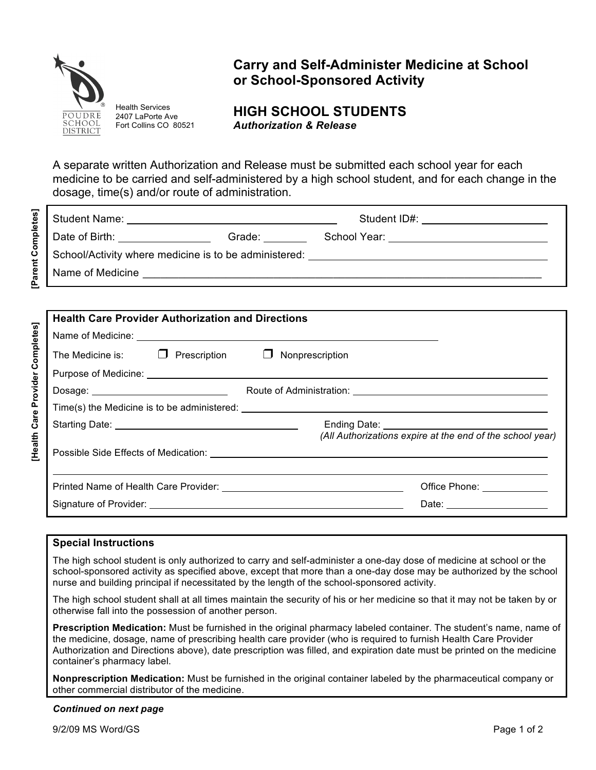

**[Parent Completes]**

[Parent Completes]

**[Health Care Provider Completes]**

Health Care Provider Completes]

Health Services 2407 LaPorte Ave Fort Collins CO 80521

# **Carry and Self-Administer Medicine at School or School-Sponsored Activity**

## **HIGH SCHOOL STUDENTS** *Authorization & Release*

A separate written Authorization and Release must be submitted each school year for each medicine to be carried and self-administered by a high school student, and for each change in the dosage, time(s) and/or route of administration.

| Student Name:                                         |        | Student ID#:                                                                                                                                                                                                                   |  |
|-------------------------------------------------------|--------|--------------------------------------------------------------------------------------------------------------------------------------------------------------------------------------------------------------------------------|--|
| Date of Birth:                                        | Grade: | School Year: The Contract of the Contract of the Contract of the Contract of the Contract of the Contract of the Contract of the Contract of the Contract of the Contract of the Contract of the Contract of the Contract of t |  |
| School/Activity where medicine is to be administered: |        |                                                                                                                                                                                                                                |  |
| Name of Medicine                                      |        |                                                                                                                                                                                                                                |  |

| <b>Health Care Provider Authorization and Directions</b> |  |                                                             |  |
|----------------------------------------------------------|--|-------------------------------------------------------------|--|
|                                                          |  |                                                             |  |
|                                                          |  | The Medicine is: $\Box$ Prescription $\Box$ Nonprescription |  |
|                                                          |  |                                                             |  |
| Dosage: ________________________________                 |  |                                                             |  |
|                                                          |  |                                                             |  |
|                                                          |  | (All Authorizations expire at the end of the school year)   |  |
|                                                          |  |                                                             |  |
|                                                          |  | Office Phone: _____________                                 |  |
|                                                          |  | Date: __________________                                    |  |

### **Special Instructions**

The high school student is only authorized to carry and self-administer a one-day dose of medicine at school or the school-sponsored activity as specified above, except that more than a one-day dose may be authorized by the school nurse and building principal if necessitated by the length of the school-sponsored activity.

The high school student shall at all times maintain the security of his or her medicine so that it may not be taken by or otherwise fall into the possession of another person.

**Prescription Medication:** Must be furnished in the original pharmacy labeled container. The student's name, name of the medicine, dosage, name of prescribing health care provider (who is required to furnish Health Care Provider Authorization and Directions above), date prescription was filled, and expiration date must be printed on the medicine container's pharmacy label.

**Nonprescription Medication:** Must be furnished in the original container labeled by the pharmaceutical company or other commercial distributor of the medicine.

#### *Continued on next page*